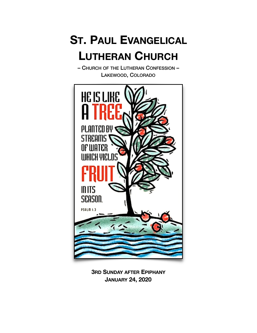# **ST. PAUL EVANGELICAL LUTHERAN CHURCH**

– CHURCH OF THE LUTHERAN CONFESSION – LAKEWOOD, COLORADO



**3RD SUNDAY AFTER EPIPHANY JANUARY 24, 2020**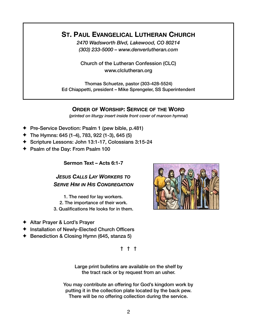## **ST. PAUL EVANGELICAL LUTHERAN CHURCH**

*2470 Wadsworth Blvd, Lakewood, CO 80214 (303) 233-5000 – www.denverlutheran.com* 

Church of the Lutheran Confession (CLC) www.clclutheran.org

Thomas Schuetze, pastor (303-428-5524) Ed Chiappetti, president – Mike Sprengeler, SS Superintendent

## **ORDER OF WORSHIP: SERVICE OF THE WORD**

*(printed on liturgy insert inside front cover of maroon hymnal)*

- ✦ Pre-Service Devotion: Psalm 1 (pew bible, p.481)
- ✦ The Hymns: 645 (1-4), 783, 922 (1-3), 645 (5)
- ✦ Scripture Lessons: John 13:1-17, Colossians 3:15-24
- ✦ Psalm of the Day: From Psalm 100

**Sermon Text – Acts 6:1-7**

*JESUS CALLS LAY WORKERS TO SERVE HIM IN HIS CONGREGATION*

- 1. The need for lay workers.
- 2. The importance of their work.
- 3. Qualifications He looks for in them.
- ✦ Altar Prayer & Lord's Prayer
- ✦ Installation of Newly-Elected Church Officers
- ✦ Benediction & Closing Hymn (645, stanza 5)

† † †

Large print bulletins are available on the shelf by the tract rack or by request from an usher.

You may contribute an offering for God's kingdom work by putting it in the collection plate located by the back pew. There will be no offering collection during the service.

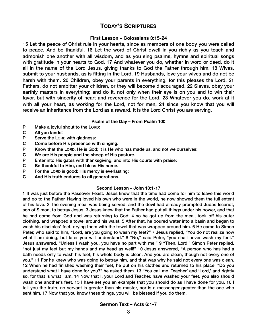## **TODAY'S SCRIPTURES**

#### **First Lesson – Colossians 3:15-24**

15 Let the peace of Christ rule in your hearts, since as members of one body you were called to peace. And be thankful. 16 Let the word of Christ dwell in you richly as you teach and admonish one another with all wisdom, and as you sing psalms, hymns and spiritual songs with gratitude in your hearts to God. 17 And whatever you do, whether in word or deed, do it all in the name of the Lord Jesus, giving thanks to God the Father through him. 18 Wives, submit to your husbands, as is fitting in the Lord. 19 Husbands, love your wives and do not be harsh with them. 20 Children, obey your parents in everything, for this pleases the Lord. 21 Fathers, do not embitter your children, or they will become discouraged. 22 Slaves, obey your earthly masters in everything; and do it, not only when their eye is on you and to win their favor, but with sincerity of heart and reverence for the Lord. 23 Whatever you do, work at it with all your heart, as working for the Lord, not for men, 24 since you know that you will receive an inheritance from the Lord as a reward. It is the Lord Christ you are serving.

#### **Psalm of the Day – From Psalm 100**

- P Make a joyful shout to the LORD:
- **C All you lands!**
- P Serve the LORD with gladness:
- **C Come before His presence with singing.**
- P Know that the LORD, He is God; it is He who has made us, and not we ourselves:
- **C We are His people and the sheep of His pasture.**
- P Enter into His gates with thanksgiving, and into His courts with praise:
- **C Be thankful to Him, and bless His name.**
- P For the LORD is good; His mercy is everlasting:
- **C And His truth endures to all generations.**

#### **Second Lesson – John 13:1-17**

1 It was just before the Passover Feast. Jesus knew that the time had come for him to leave this world and go to the Father. Having loved his own who were in the world, he now showed them the full extent of his love. 2 The evening meal was being served, and the devil had already prompted Judas Iscariot, son of Simon, to betray Jesus. 3 Jesus knew that the Father had put all things under his power, and that he had come from God and was returning to God; 4 so he got up from the meal, took off his outer clothing, and wrapped a towel around his waist. 5 After that, he poured water into a basin and began to wash his disciples' feet, drying them with the towel that was wrapped around him. 6 He came to Simon Peter, who said to him, "Lord, are you going to wash my feet?" 7 Jesus replied, "You do not realize now what I am doing, but later you will understand." 8 "No," said Peter, "you shall never wash my feet." Jesus answered, "Unless I wash you, you have no part with me." 9 "Then, Lord," Simon Peter replied, "not just my feet but my hands and my head as well!" 10 Jesus answered, "A person who has had a bath needs only to wash his feet; his whole body is clean. And you are clean, though not every one of you." 11 For he knew who was going to betray him, and that was why he said not every one was clean. 12 When he had finished washing their feet, he put on his clothes and returned to his place. "Do you understand what I have done for you?" he asked them. 13 "You call me 'Teacher' and 'Lord,' and rightly so, for that is what I am. 14 Now that I, your Lord and Teacher, have washed your feet, you also should wash one another's feet. 15 I have set you an example that you should do as I have done for you. 16 I tell you the truth, no servant is greater than his master, nor is a messenger greater than the one who sent him. 17 Now that you know these things, you will be blessed if you do them.

#### **Sermon Text – Acts 6:1-7**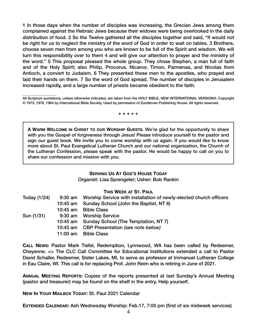1 In those days when the number of disciples was increasing, the Grecian Jews among them complained against the Hebraic Jews because their widows were being overlooked in the daily distribution of food. 2 So the Twelve gathered all the disciples together and said, "It would not be right for us to neglect the ministry of the word of God in order to wait on tables. 3 Brothers, choose seven men from among you who are known to be full of the Spirit and wisdom. We will turn this responsibility over to them 4 and will give our attention to prayer and the ministry of the word." 5 This proposal pleased the whole group. They chose Stephen, a man full of faith and of the Holy Spirit; also Philip, Procorus, Nicanor, Timon, Parmenas, and Nicolas from Antioch, a convert to Judaism. 6 They presented these men to the apostles, who prayed and laid their hands on them. 7 So the word of God spread. The number of disciples in Jerusalem increased rapidly, and a large number of priests became obedient to the faith.

\_\_\_\_\_\_\_\_\_\_\_\_\_\_\_\_\_\_\_ All Scripture quotations, unless otherwise indicated, are taken from the HOLY BIBLE, NEW INTERNATIONAL VERSION®. Copyright © 1973, 1978, 1984 by International Bible Society. Used by permission of Zondervan Publishing House. All rights reserved.

+ + + + +

**A WARM WELCOME IN CHRIST TO OUR WORSHIP GUESTS.** We're glad for the opportunity to share with you the Gospel of forgiveness through Jesus! Please introduce yourself to the pastor and sign our guest book. We invite you to come worship with us again. If you would like to know more about St. Paul Evangelical Lutheran Church and our national organization, the Church of the Lutheran Confession, please speak with the pastor. He would be happy to call on you to share our confession and mission with you.

#### **SERVING US AT GOD'S HOUSE TODAY** Organist: Lisa Sprengeler; Usher: Bob Rankin

**THIS WEEK AT ST. PAUL**

| Today (1/24) |          | 9:30 am Worship Service with installation of newly-elected church officers |
|--------------|----------|----------------------------------------------------------------------------|
|              | 10:45 am | Sunday School (John the Baptist, NT 6)                                     |
|              |          | 10:45 am Bible Class                                                       |
| Sun (1/31)   |          | 9:30 am Worship Service                                                    |
|              |          | 10:45 am Sunday School (The Temptation, NT 7)                              |
|              |          | 10:45 am CBP Presentation (see note below)                                 |
|              | 11:00 am | <b>Bible Class</b>                                                         |

**CALL NEWS:** Pastor Mark Tiefel, Redemption, Lynnwood, WA has been called by Redeemer, Cheyenne. <> The CLC Call Committee for Educational Institutions extended a call to Pastor David Schaller, Redeemer, Sister Lakes, MI, to serve as professor at Immanuel Lutheran College in Eau Claire, WI. This call is for replacing Prof. John Reim who is retiring in June of 2021.

**ANNUAL MEETING REPORTS:** Copies of the reports presented at last Sunday's Annual Meeting (pastor and treasurer) may be found on the shelf in the entry. Help yourself.

**NEW IN YOUR MAILBOX TODAY:** St. Paul 2021 Calendar

**EXTENDED CALENDAR:** Ash Wednesday Worship: Feb.17, 7:00 pm (first of six midweek services)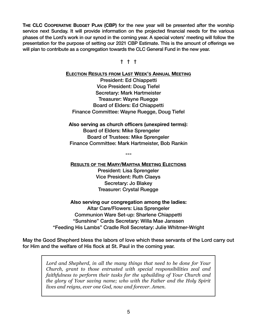**THE CLC COOPERATIVE BUDGET PLAN (CBP)** for the new year will be presented after the worship service next Sunday. It will provide information on the projected financial needs for the various phases of the Lord's work in our synod in the coming year. A special voters' meeting will follow the presentation for the purpose of setting our 2021 CBP Estimate. This is the amount of offerings we will plan to contribute as a congregation towards the CLC General Fund in the new year.

† † †

#### **ELECTION RESULTS FROM LAST WEEK'S ANNUAL MEETING**

President: Ed Chiappetti Vice President: Doug Tiefel Secretary: Mark Hartmeister Treasurer: Wayne Ruegge Board of Elders: Ed Chiappetti Finance Committee: Wayne Ruegge, Doug Tiefel

**Also serving as church officers (unexpired terms):** Board of Elders: Mike Sprengeler Board of Trustees: Mike Sprengeler Finance Committee: Mark Hartmeister, Bob Rankin

**---** 

**RESULTS OF THE MARY/MARTHA MEETING ELECTIONS**

President: Lisa Sprengeler Vice President: Ruth Claeys Secretary: Jo Blakey Treasurer: Crystal Ruegge

**Also serving our congregation among the ladies:**  Altar Care/Flowers: Lisa Sprengeler Communion Ware Set-up: Sharlene Chiappetti "Sunshine" Cards Secretary: Willa Mae Janssen "Feeding His Lambs" Cradle Roll Secretary: Julie Whitmer-Wright

May the Good Shepherd bless the labors of love which these servants of the Lord carry out for Him and the welfare of His flock at St. Paul in the coming year.

> *Lord and Shepherd, in all the many things that need to be done for Your Church, grant to those entrusted with special responsibilities zeal and faithfulness to perform their tasks for the upbuilding of Your Church and the glory of Your saving name; who with the Father and the Holy Spirit lives and reigns, ever one God, now and forever. Amen.*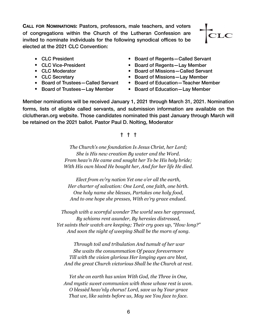**CALL FOR NOMINATIONS:** Pastors, professors, male teachers, and voters of congregations within the Church of the Lutheran Confession are invited to nominate individuals for the following synodical offices to be elected at the 2021 CLC Convention:



- 
- 
- 
- 
- 
- 
- CLC President  **Board of Regents–Called Servant**
- CLC Vice-President Board of Regents—Lay Member
- CLC Moderator Board of Missions-Called Servant
- CLC Secretary  **Board of Missions—Lay Member**
- Board of Trustees-Called Servant Board of Education-Teacher Member
- Board of Trustees—Lay Member Board of Education—Lay Member

Member nominations will be received January 1, 2021 through March 31, 2021. Nomination forms, lists of eligible called servants, and submission information are available on the clclutheran.org website. Those candidates nominated this past January through March will be retained on the 2021 ballot. Pastor Paul D. Nolting, Moderator

### † † †

*The Church's one foundation Is Jesus Christ, her Lord; She is His new creation By water and the Word. From heav'n He came and sought her To be His holy bride; With His own blood He bought her, And for her life He died.* 

*Elect from ev'ry nation Yet one o'er all the earth, Her charter of salvation: One Lord, one faith, one birth. One holy name she blesses, Partakes one holy food, And to one hope she presses, With ev'ry grace endued.* 

*Though with a scornful wonder The world sees her oppressed, By schisms rent asunder, By heresies distressed, Yet saints their watch are keeping; Their cry goes up, "How long?" And soon the night of weeping Shall be the morn of song.* 

 *Through toil and tribulation And tumult of her war She waits the consummation Of peace forevermore Till with the vision glorious Her longing eyes are blest, And the great Church victorious Shall be the Church at rest.* 

*Yet she on earth has union With God, the Three in One, And mystic sweet communion with those whose rest is won. O blessèd heav'nly chorus! Lord, save us by Your grace That we, like saints before us, May see You face to face.*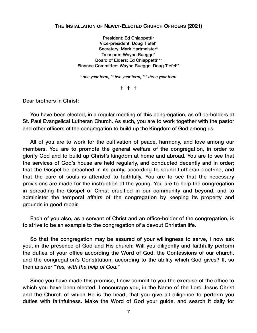#### **THE INSTALLATION OF NEWLY-ELECTED CHURCH OFFICERS (2021)**

President: Ed Chiappetti\* Vice-president: Doug Tiefel\* Secretary: Mark Hartmeister\* Treasurer: Wayne Ruegge\* Board of Elders: Ed Chiappetti\*\*\* Finance Committee: Wayne Ruegge, Doug Tiefel\*\*

*\* one year term, \*\* two year term, \*\*\* three year term* 

† † †

Dear brothers in Christ:

You have been elected, in a regular meeting of this congregation, as office-holders at St. Paul Evangelical Lutheran Church. As such, you are to work together with the pastor and other officers of the congregation to build up the Kingdom of God among us.

All of you are to work for the cultivation of peace, harmony, and love among our members. You are to promote the general welfare of the congregation, in order to glorify God and to build up Christ's kingdom at home and abroad. You are to see that the services of God's house are held regularly, and conducted decently and in order; that the Gospel be preached in its purity, according to sound Lutheran doctrine, and that the care of souls is attended to faithfully. You are to see that the necessary provisions are made for the instruction of the young. You are to help the congregation in spreading the Gospel of Christ crucified in our community and beyond, and to administer the temporal affairs of the congregation by keeping its property and grounds in good repair.

Each of you also, as a servant of Christ and an office-holder of the congregation, is to strive to be an example to the congregation of a devout Christian life.

So that the congregation may be assured of your willingness to serve, I now ask you, in the presence of God and His church: Will you diligently and faithfully perform the duties of your office according the Word of God, the Confessions of our church, and the congregation's Constitution, according to the ability which God gives? If, so then answer *"Yes, with the help of God."*

Since you have made this promise, I now commit to you the exercise of the office to which you have been elected. I encourage you, in the Name of the Lord Jesus Christ and the Church of which He is the head, that you give all diligence to perform you duties with faithfulness. Make the Word of God your guide, and search it daily for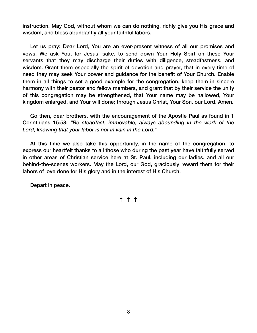instruction. May God, without whom we can do nothing, richly give you His grace and wisdom, and bless abundantly all your faithful labors.

Let us pray: Dear Lord, You are an ever-present witness of all our promises and vows. We ask You, for Jesus' sake, to send down Your Holy Spirt on these Your servants that they may discharge their duties with diligence, steadfastness, and wisdom. Grant them especially the spirit of devotion and prayer, that in every time of need they may seek Your power and guidance for the benefit of Your Church. Enable them in all things to set a good example for the congregation, keep them in sincere harmony with their pastor and fellow members, and grant that by their service the unity of this congregation may be strengthened, that Your name may be hallowed, Your kingdom enlarged, and Your will done; through Jesus Christ, Your Son, our Lord. Amen.

Go then, dear brothers, with the encouragement of the Apostle Paul as found in 1 Corinthians 15:58: *"Be steadfast, immovable, always abounding in the work of the Lord, knowing that your labor is not in vain in the Lord."* 

At this time we also take this opportunity, in the name of the congregation, to express our heartfelt thanks to all those who during the past year have faithfully served in other areas of Christian service here at St. Paul, including our ladies, and all our behind-the-scenes workers. May the Lord, our God, graciously reward them for their labors of love done for His glory and in the interest of His Church.

Depart in peace.

## † † †